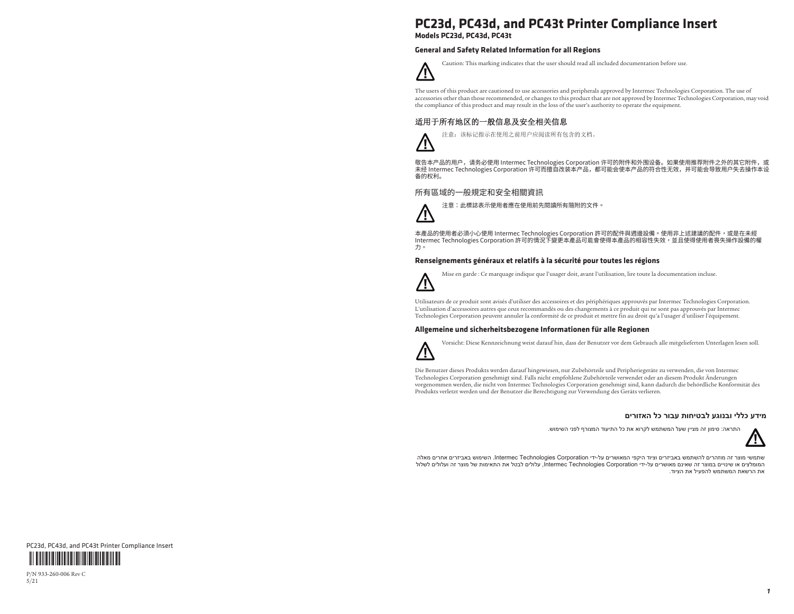# **PC23d, PC43d, and PC43t Printer Compliance Insert**

**Models PC23d, PC43d, PC43t**

### **General and Safety Related Information for all Regions**



Caution: This marking indicates that the user should read all included documentation before use.

The users of this product are cautioned to use accessories and peripherals approved by Intermec Technologies Corporation. The use of accessories other than those recommended, or changes to this product that are not approved by Intermec Technologies Corporation, may void the compliance of this product and may result in the loss of the user's authority to operate the equipment.

## 适用于所有地区的一般信息及安全相关信息



敬告本产品的用户,请务必使用 Intermec Technologies Corporation 许可的附件和外围设备。如果使用推荐附件之外的其它附件,或 未经 Intermec Technologies Corporation 许可而擅自改装本产品,都可能会使本产品的符合性无效,并可能会导致用户失去操作本设 备的权利。

### 所有區域的一般規定和安全相關資訊

注意:此標誌表示使用者應在使用前先閱讀所有隨附的文件。



本產品的使用者必須小心使用 Intermec Technologies Corporation 許可的配件與週邊設備。使用非上述建議的配件,或是在未經 Intermec Technologies Corporation 許可的情況下變更本產品可能會使得本產品的相容性失效,並且使得使用者喪失操作設備的權 力。

### **Renseignements généraux et relatifs à la sécurité pour toutes les régions**



Mise en garde : Ce marquage indique que l'usager doit, avant l'utilisation, lire toute la documentation incluse.

Utilisateurs de ce produit sont avisés d'utiliser des accessoires et des périphériques approuvés par Intermec Technologies Corporation. L'utilisation d'accessoires autres que ceux recommandés ou des changements à ce produit qui ne sont pas approuvés par Intermec Technologies Corporation peuvent annuler la conformité de ce produit et mettre fin au droit qu'a l'usager d'utiliser l'équipement.

#### **Allgemeine und sicherheitsbezogene Informationen für alle Regionen**



Vorsicht: Diese Kennzeichnung weist darauf hin, dass der Benutzer vor dem Gebrauch alle mitgelieferten Unterlagen lesen soll.

Die Benutzer dieses Produkts werden darauf hingewiesen, nur Zubehörteile und Peripheriegeräte zu verwenden, die von Intermec Technologies Corporation genehmigt sind. Falls nicht empfohlene Zubehörteile verwendet oder an diesem Produkt Änderungen vorgenommen werden, die nicht von Intermec Technologies Corporation genehmigt sind, kann dadurch die behördliche Konformität des Produkts verletzt werden und der Benutzer die Berechtigung zur Verwendung des Geräts verlieren.

#### **מידע כללי ובנוגע לבטיחות עבור כל האזורים**

התראה: סימון זה מציין שעל המשתמש לקרוא את כל התיעוד המצורף לפני השימוש.



שתמשי מוצר זה מוזהרים להשתמש באביזרים וציוד היקפי המאושרים על-ידי Corporation Technologies Intermec. השימוש באביזרים אחרים מאלה המומלצים או שינויים במוצר זה שאינם מאושרים על-ידי Corporation Technologies Intermec, עלולים לבטל את התאימות של מוצר זה ועלולים לשלול את הרשאת המשתמש להפעיל את הציוד.



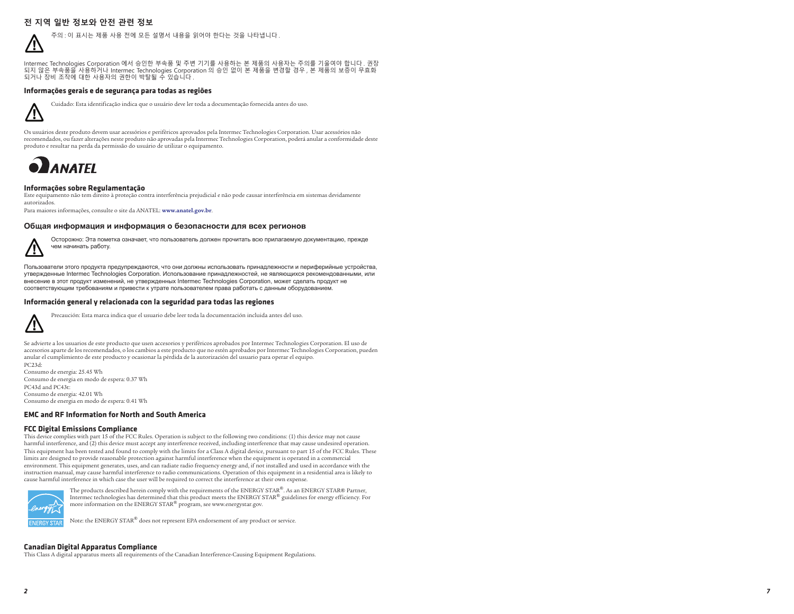### 전 지역 일반 정보와 안전 관련 정보



Intermec Technologies Corporation 에서 승인한 부속품 및 주변 기기를 사용하는 본 제품의 사용자는 주의를 기울여야 합니다. 권장 되지 않은 부속품을 사용하거나 Intermec Technologies Corporation 의 승인 없이 본 제품을 변경할 경우, 본 제품의 보증이 무효화 되거나 장비 조작에 대한 사용자의 권한이 박탈될 수 있습니다.

#### **Informações gerais e de segurança para todas as regiões**



Cuidado: Esta identificação indica que o usuário deve ler toda a documentação fornecida antes do uso.

Os usuários deste produto devem usar acessórios e periféricos aprovados pela Intermec Technologies Corporation. Usar acessórios não recomendados, ou fazer alterações neste produto não aprovadas pela Intermec Technologies Corporation, poderá anular a conformidade deste produto e resultar na perda da permissão do usuário de utilizar o equipamento.



#### **Informações sobre Regulamentação**

Este equipamento não tem direito à proteção contra interferência prejudicial e não pode causar interferência em sistemas devidamente autorizados.

Para maiores informações, consulte o site da ANATEL: **www.anatel.gov.br**.

#### Общая информация и информация о безопасности для всех регионов



Осторожно: Эта пометка означает, что пользователь должен прочитать всю прилагаемую документацию, прежде чем начинать работу.

Пользователи этого продукта предупреждаются, что они должны использовать принадлежности и периферийные устройства, утвержденные Intermec Technologies Corporation. Использование принадлежностей, не являющихся рекомендованными, или внесение в этот продукт изменений, не утвержденных Intermec Technologies Corporation, может сделать продукт не соответствующим требованиям и привести к утрате пользователем права работать с данным оборудованием.

#### **Información general y relacionada con la seguridad para todas las regiones**



Precaución: Esta marca indica que el usuario debe leer toda la documentación incluida antes del uso.

Se advierte a los usuarios de este producto que usen accesorios y periféricos aprobados por Intermec Technologies Corporation. El uso de accesorios aparte de los recomendados, o los cambios a este producto que no estén aprobados por Intermec Technologies Corporation, pueden anular el cumplimiento de este producto y ocasionar la pérdida de la autorización del usuario para operar el equipo. PC23d:

Consumo de energia: 25.45 Wh Consumo de energia en modo de espera: 0.37 Wh PC43d and PC43t: Consumo de energia: 42.01 Wh Consumo de energia en modo de espera: 0.41 Wh

#### **EMC and RF Information for North and South America**

#### **FCC Digital Emissions Compliance**

This device complies with part 15 of the FCC Rules. Operation is subject to the following two conditions: (1) this device may not cause harmful interference, and (2) this device must accept any interference received, including interference that may cause undesired operation. This equipment has been tested and found to comply with the limits for a Class A digital device, pursuant to part 15 of the FCC Rules. These limits are designed to provide reasonable protection against harmful interference when the equipment is operated in a commercial environment. This equipment generates, uses, and can radiate radio frequency energy and, if not installed and used in accordance with the instruction manual, may cause harmful interference to radio communications. Operation of this equipment in a residential area is likely to cause harmful interference in which case the user will be required to correct the interference at their own expense.



The products described herein comply with the requirements of the ENERGY STAR®. As an ENERGY STAR® Partner, Intermec technologies has determined that this product meets the ENERGY STAR® guidelines for energy efficiency. For more information on the ENERGY STAR® program, see www.energystar.gov.

Note: the ENERGY STAR® does not represent EPA endorsement of any product or service.

#### **Canadian Digital Apparatus Compliance**

This Class A digital apparatus meets all requirements of the Canadian Interference-Causing Equipment Regulations.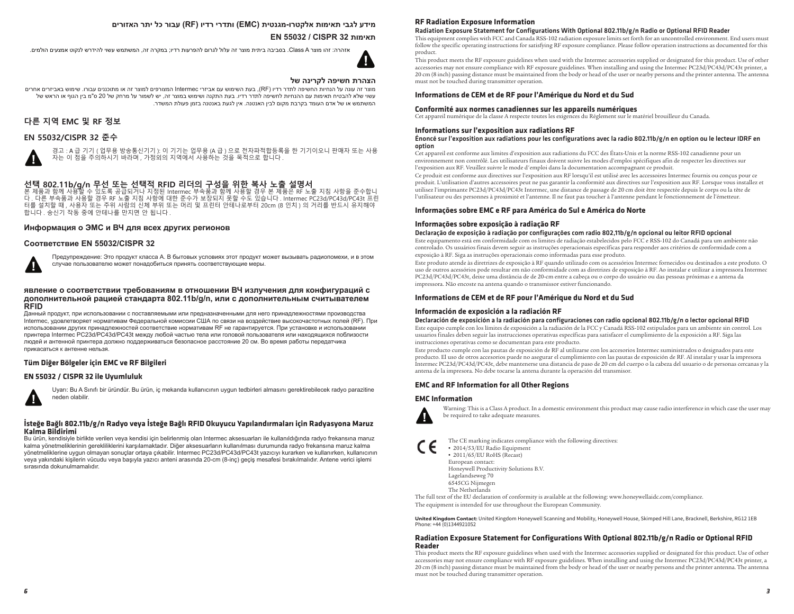### **מידע לגבי תאימות אלקטרו-מגנטית (EMC (ותדרי רדיו (RF (עבור כל יתר האזורים**

### **EN 55032 / CISPR 32 תאימות**

אזהרה: זהו מוצר A Class. בסביבה ביתית מוצר זה עלול לגרום להפרעות רדיו; במקרה זה, המשתמש עשוי להידרש לנקוט אמצעים הולמים.



#### **הצהרת חשיפה לקרינה של**

מוצר זה עונה על הנחיות החשיפה לתדר רדיו (RF(, בעת השימוש עם אביזרי Intermec המצורפים למוצר זה או מתוכננים עבורו. שימוש באביזרים אחרים עשוי שלא להבטיח תאימות עם ההנחיות לחשיפה לתדר רדיו. בעת התקנה ושימוש במוצר זה, יש לשמור על מרחק של 20 ס"מ בין הגוף או הראש של המשתמש או של אדם העומד בקרבת מקום לבין האנטנה. אין לגעת באנטנה בזמן פעולת המשדר.

### 다른 지역 EMC 및 RF 정보

### EN 55032/CISPR 32 준수



경고 : A 급 기기 ( 업무용 방송통신기기 ): 이 기기는 업무용 (A 급 ) 으로 전자파적합등록을 한 기기이오니 판매자 또는 사용 ञ्चल संघालय ने अपना करने का अपना प्रविधान करने हो। यह वो पान के अपना के अपना के अपना के साथ स्थान के साथ स्थान

**선택 802.11b/g/n 무선 또는 선택적 RFID 리더의 구성을 위한 복사 노출 설명서**<br>본 제품과 함께 사용할 수 있도록 공급되거나 지정된 Intermec 부속품과 함께 사용할 경우 본 제품은 RF 노출 지침 사항을 준수합니<br>다. 다른 부속품과 사용할 경우 RF 노출 지침 사항에 대한 준수가 보장되지 못할 수도 있습니다. Intermec PC23d/PC43d/PC43t 프린 터를 설치할 때, 사용자 또는 주위 사람의 신체 부위 또는 머리 및 프린터 안테나로부터 20cm (8 인치) 의 거리를 반드시 유지해야  $\ddot{\text{a}}$  the set of  $\ddot{\text{b}}$  and  $\ddot{\text{c}}$  and  $\ddot{\text{c}}$  and  $\ddot{\text{c}}$  and  $\ddot{\text{c}}$  and  $\ddot{\text{c}}$  and  $\ddot{\text{c}}$  and  $\ddot{\text{c}}$  and  $\ddot{\text{c}}$  and  $\ddot{\text{c}}$  and  $\ddot{\text{c}}$  and  $\ddot{\text{c}}$  and  $\ddot{\text{c}}$  and  $\ddot$ 

#### $M$ нформация о ЭМС и ВЧ для всех других регионов

#### $Co$ <sup>O</sup>TBeтствие EN 55032/CISPR 32



Предупреждение: Это продукт класса А. В бытовых условиях этот продукт может вызывать радиопомехи, и в этом случае пользователю может понадобиться принять соответствующие меры

#### $\bm{s}$ вление о соответствии требованиям в отношении ВЧ излучения для конфигураций с дополнительной рацией стандарта 802.11b/g/n, или с дополнительным считывателем **RFID**

Данный продукт, при использовании с поставляемыми или предназначенными для него принадлежностями производства Intermec, удовлетворяет нормативам Федеральной комиссии США по связи на воздействие высокочастотных полей (RF). При использовании других принадлежностей соответствие нормативам RF не гарантируется. При установке и использовании принтера Intermec PC23d/PC43d/PC43t между любой частью тела или головой пользователя или находящихся поблизости людей и антенной принтера должно поддерживаться безопасное расстояние 20 см. Во время работы передатчика прикасаться к антенне нельзя.

### **Tüm Diğer Bölgeler için EMC ve RF Bilgileri**

#### **EN 55032 / CISPR 32 ile Uyumluluk**



Uyarı: Bu A Sınıfı bir üründür. Bu ürün, iç mekanda kullanıcının uygun tedbirleri almasını gerektirebilecek radyo parazitine neden olabilir.

#### **İsteğe Bağlı 802.11b/g/n Radyo veya İsteğe Bağlı RFID Okuyucu Yapılandırmaları için Radyasyona Maruz Kalma Bildirimi**

Bu ürün, kendisiyle birlikte verilen veya kendisi için belirlenmiş olan Intermec aksesuarları ile kullanıldığında radyo frekansına maruz kalma yönetmeliklerinin gerekliliklerini karşılamaktadır. Diğer aksesuarların kullanılması durumunda radyo frekansına maruz kalma yönetmeliklerine uygun olmayan sonuçlar ortaya çıkabilir. Intermec PC23d/PC43d/PC43t yazıçıyı kurarken ve kullanırken, kullanıcının veya yakındaki kişilerin vücudu veya başıyla yazıcı anteni arasında 20-cm (8-inç) geçiş mesafesi bırakılmalıdır. Antene verici işlemi sırasında dokunulmamalıdır.

#### **RF Radiation Exposure Information**

#### Radiation Exposure Statement for Configurations With Optional 802.11b/g/n Radio or Optional RFID Reader

This equipment complies with FCC and Canada RSS-102 radiation exposure limits set forth for an uncontrolled environment. End users must follow the specific operating instructions for satisfying RF exposure compliance. Please follow operation instructions as documented for this product.

This product meets the RF exposure guidelines when used with the Intermec accessories supplied or designated for this product. Use of other accessories may not ensure compliance with RF exposure guidelines. When installing and using the Intermec PC23d/PC43d/PC43t printer, a 20 cm (8 inch) passing distance must be maintained from the body or head of the user or nearby persons and the printer antenna. The antenna must not be touched during transmitter operation.

#### **Informations de CEM et de RF pour l'Amérique du Nord et du Sud**

#### **Conformité aux normes canadiennes sur les appareils numériques**

Cet appareil numérique de la classe A respecte toutes les exigences du Réglement sur le matériel brouilleur du Canada.

#### **Informations sur l'exposition aux radiations RF**

#### Énoncé sur l'exposition aux radiations pour les configurations avec la radio 802.11b/g/n en option ou le lecteur IDRF en option

Cet appareil est conforme aux limites d'exposition aux radiations du FCC des États-Unis et la norme RSS-102 canadienne pour un environnement non contrôlé. Les utilisateurs finaux doivent suivre les modes d'emploi spécifiques afin de respecter les directives sur l'exposition aux RF. Veuillez suivre le mode d'emploi dans la documentation accompagnant ce produit.

Ce produit est conforme aux directives sur l'exposition aux RF lorsqu'il est utilisé avec les accessoires Intermec fournis ou conçus pour ce produit. L'utilisation d'autres accessoires peut ne pas garantir la conformité aux directives sur l'exposition aux RF. Lorsque vous installez et utilisez l'imprimante PC23d/PC43d/PC43t Intermec, une distance de passage de 20 cm doit être respectée depuis le corps ou la tête de l'utilisateur ou des personnes à proximité et l'antenne. Il ne faut pas toucher à l'antenne pendant le fonctionnement de l'émetteur.

#### **Informações sobre EMC e RF para América do Sul e América do Norte**

#### **Informações sobre exposição à radiação RF**

#### Declaração de exposição à radiação por configurações com radio 802,11b/g/n opcional ou leitor RFID opcional

Este equipamento está em conformidade com os limites de radiação estabelecidos pelo FCC e RSS-102 do Canadá para um ambiente não controlado. Os usuários finais devem seguir as instruções operacionais específicas para responder aos critérios de conformidade com a exposição à RF. Siga as instruções operacionais como informadas para esse produto.

Este produto atende às diretrizes de exposição à RF quando utilizado com os acessórios Intermec fornecidos ou destinados a este produto. O uso de outros acessórios pode resultar em não conformidade com as diretrizes de exposição à RF. Ao instalar e utilizar a impressora Intermec PC23d/PC43d/PC43t, deixe uma distância de de 20-cm entre a cabeça ou o corpo do usuário ou das pessoas próximas e a antena da impressora. Não encoste na antena quando o transmissor estiver funcionando.

#### **Informations de CEM et de RF pour l'Amérique du Nord et du Sud**

#### **Información de exposición a la radiación RF**

#### Declaración de exposición a la radiación para configuraciones con radio opcional 802.11b/g/n o lector opcional RFID

Este equipo cumple con los límites de exposición a la radiación de la FCC y Canadá RSS-102 estipulados para un ambiente sin control. Los usuarios finales deben seguir las instrucciones operativas específicas para satisfacer el cumplimiento de la exposición a RF. Siga las instrucciones operativas como se documentan para este producto.

Este producto cumple con las pautas de exposición de RF al utilizarse con los accesorios Intermec suministrados o designados para este producto. El uso de otros accesorios puede no asegurar el cumplimiento con las pautas de exposición de RF. Al instalar y usar la impresora Intermec PC23d/PC43d/PC43t, debe mantenerse una distancia de paso de 20 cm del cuerpo o la cabeza del usuario o de personas cercanas y la antena de la impresora. No debe tocarse la antena durante la operación del transmisor.

#### **EMC and RF Information for all Other Regions**

#### **EMC Information**



Warning: This is a Class A product. In a domestic environment this product may cause radio interference in which case the user may be required to take adequate measures.

The CE marking indicates compliance with the following directives: **•** 2014/53/EU Radio Equipment **•** 2011/65/EU RoHS (Recast) European contact: Honeywell Productivity Solutions B.V. Lagelandseweg 70 6545CG Nijmegen The Netherlands

 The full text of the EU declaration of conformity is available at the following: www.honeywellaidc.com/compliance. The equipment is intended for use throughout the European Community.

United Kingdom Contact: United Kingdom Honeywell Scanning and Mobility, Honeywell House, Skimped Hill Lane, Bracknell, Berkshire, RG12 1EB Phone: +44 (0)1344921052

#### **Radiation Exposure Statement for Configurations With Optional 802.11b/g/n Radio or Optional RFID Reader**

 This product meets the RF exposure guidelines when used with the Intermec accessories supplied or designated for this product. Use of other accessories may not ensure compliance with RF exposure guidelines. When installing and using the Intermec PC23d/PC43d/PC43t printer, a 20 cm (8 inch) passing distance must be maintained from the body or head of the user or nearby persons and the printer antenna. The antenna must not be touched during transmitter operation.